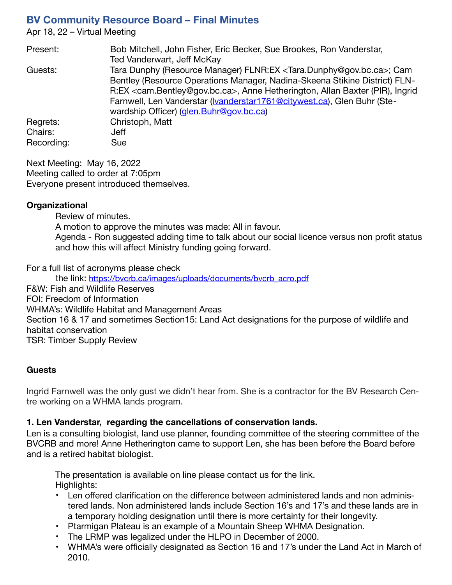# **BV Community Resource Board – Final Minutes**

Apr 18, 22 – Virtual Meeting

| Present:   | Bob Mitchell, John Fisher, Eric Becker, Sue Brookes, Ron Vanderstar,                                |
|------------|-----------------------------------------------------------------------------------------------------|
|            | Ted Vanderwart, Jeff McKay                                                                          |
| Guests:    | Tara Dunphy (Resource Manager) FLNR:EX <tara.dunphy@gov.bc.ca>; Cam</tara.dunphy@gov.bc.ca>         |
|            | Bentley (Resource Operations Manager, Nadina-Skeena Stikine District) FLN-                          |
|            | R:EX <cam.bentley@gov.bc.ca>, Anne Hetherington, Allan Baxter (PIR), Ingrid</cam.bentley@gov.bc.ca> |
|            | Farnwell, Len Vanderstar (vanderstar1761@citywest.ca), Glen Buhr (Ste-                              |
|            | wardship Officer) (glen.Buhr@gov.bc.ca)                                                             |
| Regrets:   | Christoph, Matt                                                                                     |
| Chairs:    | Jeff                                                                                                |
| Recording: | Sue                                                                                                 |

Next Meeting: May 16, 2022 Meeting called to order at 7:05pm Everyone present introduced themselves.

#### **Organizational**

Review of minutes. A motion to approve the minutes was made: All in favour. Agenda - Ron suggested adding time to talk about our social licence versus non profit status and how this will affect Ministry funding going forward.

For a full list of acronyms please check

the link: [https://bvcrb.ca/images/uploads/documents/bvcrb\\_acro.pdf](https://bvcrb.ca/images/uploads/documents/bvcrb_acro.pdf) F&W: Fish and Wildlife Reserves FOI: Freedom of Information WHMA's: Wildlife Habitat and Management Areas Section 16 & 17 and sometimes Section15: Land Act designations for the purpose of wildlife and habitat conservation TSR: Timber Supply Review

#### **Guests**

Ingrid Farnwell was the only gust we didn't hear from. She is a contractor for the BV Research Centre working on a WHMA lands program.

#### **1. Len Vanderstar, regarding the cancellations of conservation lands.**

Len is a consulting biologist, land use planner, founding committee of the steering committee of the BVCRB and more! Anne Hetherington came to support Len, she has been before the Board before and is a retired habitat biologist.

The presentation is available on line please contact us for the link. Highlights:

- Len offered clarification on the difference between administered lands and non administered lands. Non administered lands include Section 16's and 17's and these lands are in a temporary holding designation until there is more certainty for their longevity.
- Ptarmigan Plateau is an example of a Mountain Sheep WHMA Designation.
- The LRMP was legalized under the HLPO in December of 2000.
- WHMA's were officially designated as Section 16 and 17's under the Land Act in March of 2010.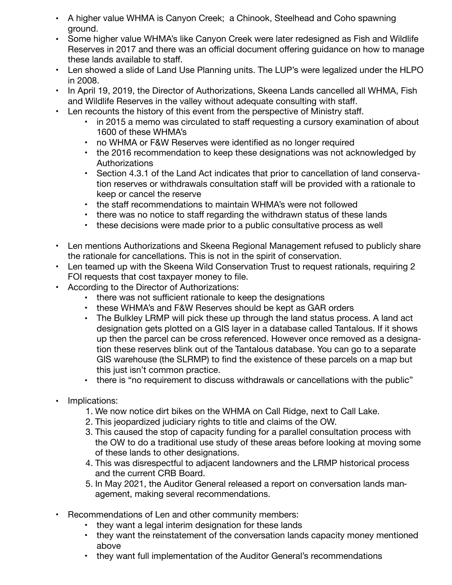- A higher value WHMA is Canyon Creek; a Chinook, Steelhead and Coho spawning ground.
- Some higher value WHMA's like Canyon Creek were later redesigned as Fish and Wildlife Reserves in 2017 and there was an official document offering guidance on how to manage these lands available to staff.
- Len showed a slide of Land Use Planning units. The LUP's were legalized under the HLPO in 2008.
- In April 19, 2019, the Director of Authorizations, Skeena Lands cancelled all WHMA, Fish and Wildlife Reserves in the valley without adequate consulting with staff.
- Len recounts the history of this event from the perspective of Ministry staff.
	- in 2015 a memo was circulated to staff requesting a cursory examination of about 1600 of these WHMA's
	- no WHMA or F&W Reserves were identified as no longer required
	- the 2016 recommendation to keep these designations was not acknowledged by Authorizations
	- Section 4.3.1 of the Land Act indicates that prior to cancellation of land conservation reserves or withdrawals consultation staff will be provided with a rationale to keep or cancel the reserve
	- the staff recommendations to maintain WHMA's were not followed
	- there was no notice to staff regarding the withdrawn status of these lands
	- these decisions were made prior to a public consultative process as well
- Len mentions Authorizations and Skeena Regional Management refused to publicly share the rationale for cancellations. This is not in the spirit of conservation.
- Len teamed up with the Skeena Wild Conservation Trust to request rationals, requiring 2 FOI requests that cost taxpayer money to file.
- According to the Director of Authorizations:
	- there was not sufficient rationale to keep the designations
	- these WHMA's and F&W Reserves should be kept as GAR orders
	- The Bulkley LRMP will pick these up through the land status process. A land act designation gets plotted on a GIS layer in a database called Tantalous. If it shows up then the parcel can be cross referenced. However once removed as a designation these reserves blink out of the Tantalous database. You can go to a separate GIS warehouse (the SLRMP) to find the existence of these parcels on a map but this just isn't common practice.
	- there is "no requirement to discuss withdrawals or cancellations with the public"
- Implications:
	- 1. We now notice dirt bikes on the WHMA on Call Ridge, next to Call Lake.
	- 2. This jeopardized judiciary rights to title and claims of the OW.
	- 3. This caused the stop of capacity funding for a parallel consultation process with the OW to do a traditional use study of these areas before looking at moving some of these lands to other designations.
	- 4. This was disrespectful to adjacent landowners and the LRMP historical process and the current CRB Board.
	- 5. In May 2021, the Auditor General released a report on conversation lands management, making several recommendations.
- Recommendations of Len and other community members:
	- they want a legal interim designation for these lands
	- they want the reinstatement of the conversation lands capacity money mentioned above
	- they want full implementation of the Auditor General's recommendations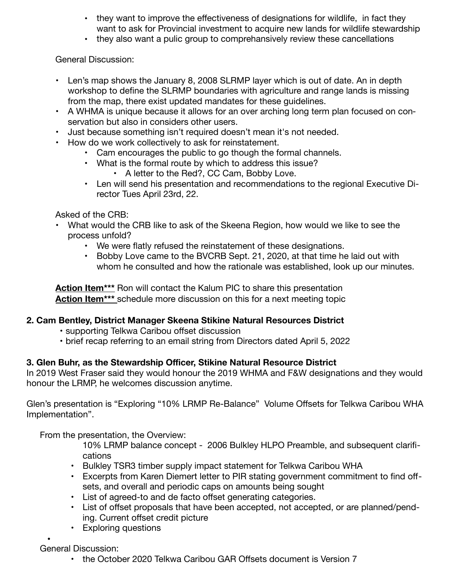- they want to improve the effectiveness of designations for wildlife, in fact they want to ask for Provincial investment to acquire new lands for wildlife stewardship
- they also want a pulic group to comprehansively review these cancellations

General Discussion:

- Len's map shows the January 8, 2008 SLRMP layer which is out of date. An in depth workshop to define the SLRMP boundaries with agriculture and range lands is missing from the map, there exist updated mandates for these guidelines.
- A WHMA is unique because it allows for an over arching long term plan focused on conservation but also in considers other users.
- Just because something isn't required doesn't mean it's not needed.
- How do we work collectively to ask for reinstatement.
	- Cam encourages the public to go though the formal channels.
	- What is the formal route by which to address this issue?
		- A letter to the Red?, CC Cam, Bobby Love.
	- Len will send his presentation and recommendations to the regional Executive Director Tues April 23rd, 22.

Asked of the CRB:

- What would the CRB like to ask of the Skeena Region, how would we like to see the process unfold?
	- We were flatly refused the reinstatement of these designations.
	- Bobby Love came to the BVCRB Sept. 21, 2020, at that time he laid out with whom he consulted and how the rationale was established, look up our minutes.

**Action Item\*\*\*** Ron will contact the Kalum PIC to share this presentation **Action Item\*\*\*** schedule more discussion on this for a next meeting topic

# **2. Cam Bentley, District Manager Skeena Stikine Natural Resources District**

- supporting Telkwa Caribou offset discussion
- brief recap referring to an email string from Directors dated April 5, 2022

# **3. Glen Buhr, as the Stewardship Officer, Stikine Natural Resource District**

In 2019 West Fraser said they would honour the 2019 WHMA and F&W designations and they would honour the LRMP, he welcomes discussion anytime.

Glen's presentation is "Exploring "10% LRMP Re-Balance" Volume Offsets for Telkwa Caribou WHA Implementation".

From the presentation, the Overview:

• 10% LRMP balance concept - 2006 Bulkley HLPO Preamble, and subsequent clarifications

- Bulkley TSR3 timber supply impact statement for Telkwa Caribou WHA
- Excerpts from Karen Diemert letter to PIR stating government commitment to find offsets, and overall and periodic caps on amounts being sought
- List of agreed-to and de facto offset generating categories.
- List of offset proposals that have been accepted, not accepted, or are planned/pending. Current offset credit picture
- Exploring questions

• General Discussion:

• the October 2020 Telkwa Caribou GAR Offsets document is Version 7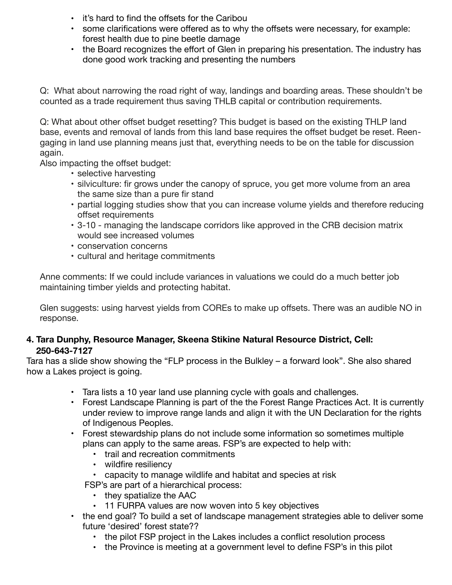- it's hard to find the offsets for the Caribou
- some clarifications were offered as to why the offsets were necessary, for example: forest health due to pine beetle damage
- the Board recognizes the effort of Glen in preparing his presentation. The industry has done good work tracking and presenting the numbers

Q: What about narrowing the road right of way, landings and boarding areas. These shouldn't be counted as a trade requirement thus saving THLB capital or contribution requirements.

Q: What about other offset budget resetting? This budget is based on the existing THLP land base, events and removal of lands from this land base requires the offset budget be reset. Reengaging in land use planning means just that, everything needs to be on the table for discussion again.

Also impacting the offset budget:

- selective harvesting
- silviculture: fir grows under the canopy of spruce, you get more volume from an area the same size than a pure fir stand
- partial logging studies show that you can increase volume yields and therefore reducing offset requirements
- 3-10 managing the landscape corridors like approved in the CRB decision matrix would see increased volumes
- conservation concerns
- cultural and heritage commitments

Anne comments: If we could include variances in valuations we could do a much better job maintaining timber yields and protecting habitat.

Glen suggests: using harvest yields from COREs to make up offsets. There was an audible NO in response.

# **4. Tara Dunphy, Resource Manager, Skeena Stikine Natural Resource District, Cell: 250-643-7127**

Tara has a slide show showing the "FLP process in the Bulkley – a forward look". She also shared how a Lakes project is going.

- Tara lists a 10 year land use planning cycle with goals and challenges.
- Forest Landscape Planning is part of the the Forest Range Practices Act. It is currently under review to improve range lands and align it with the UN Declaration for the rights of Indigenous Peoples.
- Forest stewardship plans do not include some information so sometimes multiple plans can apply to the same areas. FSP's are expected to help with:
	- trail and recreation commitments
	- wildfire resiliency
	- capacity to manage wildlife and habitat and species at risk
	- FSP's are part of a hierarchical process:
		- they spatialize the AAC
		- 11 FURPA values are now woven into 5 key objectives
- the end goal? To build a set of landscape management strategies able to deliver some future 'desired' forest state??
	- the pilot FSP project in the Lakes includes a conflict resolution process
	- the Province is meeting at a government level to define FSP's in this pilot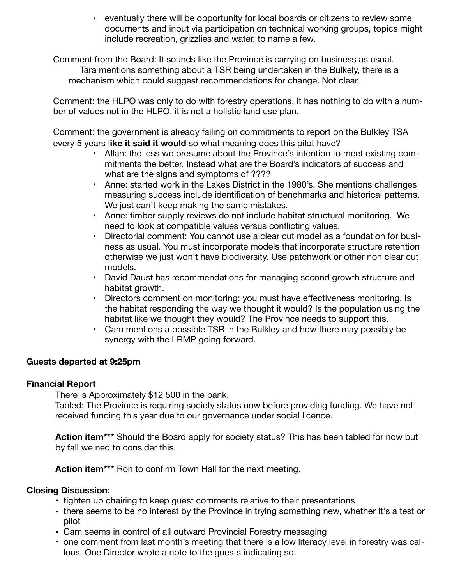• eventually there will be opportunity for local boards or citizens to review some documents and input via participation on technical working groups, topics might include recreation, grizzlies and water, to name a few.

Comment from the Board: It sounds like the Province is carrying on business as usual. Tara mentions something about a TSR being undertaken in the Bulkely, there is a mechanism which could suggest recommendations for change. Not clear.

Comment: the HLPO was only to do with forestry operations, it has nothing to do with a number of values not in the HLPO, it is not a holistic land use plan.

Comment: the government is already failing on commitments to report on the Bulkley TSA every 5 years l**ike it said it would** so what meaning does this pilot have?

- Allan: the less we presume about the Province's intention to meet existing commitments the better. Instead what are the Board's indicators of success and what are the signs and symptoms of ????
- Anne: started work in the Lakes District in the 1980's. She mentions challenges measuring success include identification of benchmarks and historical patterns. We just can't keep making the same mistakes.
- Anne: timber supply reviews do not include habitat structural monitoring. We need to look at compatible values versus conflicting values.
- Directorial comment: You cannot use a clear cut model as a foundation for business as usual. You must incorporate models that incorporate structure retention otherwise we just won't have biodiversity. Use patchwork or other non clear cut models.
- David Daust has recommendations for managing second growth structure and habitat growth.
- Directors comment on monitoring: you must have effectiveness monitoring. Is the habitat responding the way we thought it would? Is the population using the habitat like we thought they would? The Province needs to support this.
- Cam mentions a possible TSR in the Bulkley and how there may possibly be synergy with the LRMP going forward.

## **Guests departed at 9:25pm**

## **Financial Report**

There is Approximately \$12 500 in the bank.

Tabled: The Province is requiring society status now before providing funding. We have not received funding this year due to our governance under social licence.

**Action item\*\*\*** Should the Board apply for society status? This has been tabled for now but by fall we ned to consider this.

**Action item\*\*\*** Ron to confirm Town Hall for the next meeting.

## **Closing Discussion:**

- tighten up chairing to keep guest comments relative to their presentations
- there seems to be no interest by the Province in trying something new, whether it's a test or pilot
- Cam seems in control of all outward Provincial Forestry messaging
- one comment from last month's meeting that there is a low literacy level in forestry was callous. One Director wrote a note to the guests indicating so.